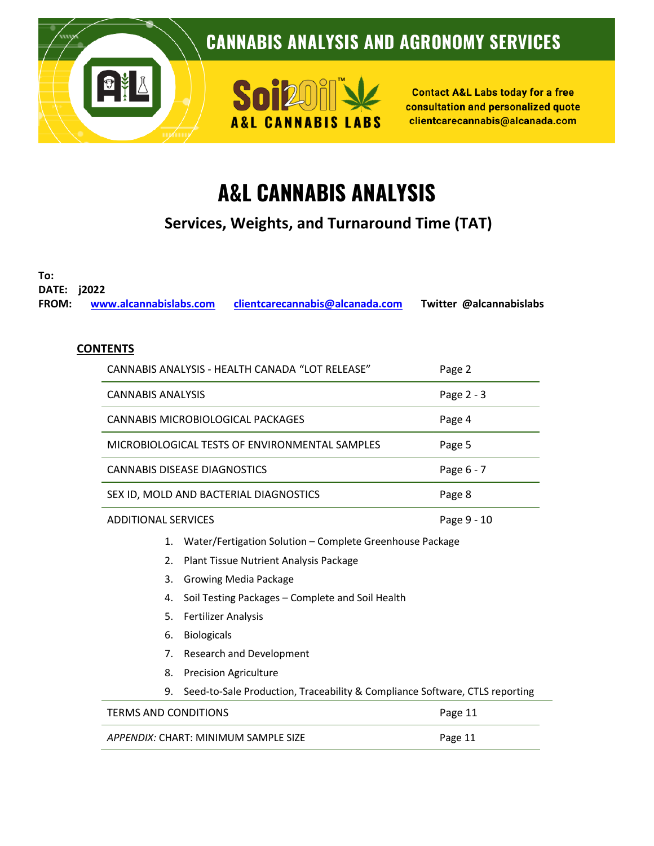

# **A&L CANNABIS ANALYSIS**

**Services, Weights, and Turnaround Time (TAT)**

**To:**

**DATE: j2022 FROM: [www.alcannabislabs.com](http://www.alcannabislabs.com/) [clientcarecannabis@alcanada.com](mailto:clientcarecannabis@alcanada.com) Twitter @alcannabislabs**

### **CONTENTS**

|                            | CANNABIS ANALYSIS - HEALTH CANADA "LOT RELEASE"                                   | Page 2      |  |  |
|----------------------------|-----------------------------------------------------------------------------------|-------------|--|--|
| <b>CANNABIS ANALYSIS</b>   |                                                                                   | Page 2 - 3  |  |  |
|                            | CANNABIS MICROBIOLOGICAL PACKAGES                                                 | Page 4      |  |  |
|                            | MICROBIOLOGICAL TESTS OF ENVIRONMENTAL SAMPLES                                    | Page 5      |  |  |
|                            | <b>CANNABIS DISEASE DIAGNOSTICS</b>                                               | Page 6 - 7  |  |  |
|                            | SEX ID, MOLD AND BACTERIAL DIAGNOSTICS                                            | Page 8      |  |  |
| <b>ADDITIONAL SERVICES</b> |                                                                                   | Page 9 - 10 |  |  |
| 1.                         | Water/Fertigation Solution - Complete Greenhouse Package                          |             |  |  |
| 2.                         | Plant Tissue Nutrient Analysis Package                                            |             |  |  |
| 3.                         | Growing Media Package                                                             |             |  |  |
| 4.                         | Soil Testing Packages - Complete and Soil Health                                  |             |  |  |
| 5.                         | <b>Fertilizer Analysis</b>                                                        |             |  |  |
| 6.                         | <b>Biologicals</b>                                                                |             |  |  |
| 7.                         | Research and Development                                                          |             |  |  |
| 8.                         | <b>Precision Agriculture</b>                                                      |             |  |  |
|                            | Seed-to-Sale Production, Traceability & Compliance Software, CTLS reporting<br>9. |             |  |  |
|                            | 222121212121212                                                                   |             |  |  |

TERMS AND CONDITIONS **EXECUTE 2018 12 SET AND SERVICE 2018** Page 11 APPENDIX: CHART: MINIMUM SAMPLE SIZE **APPENDIX: CHART:** MINIMUM SAMPLE SIZE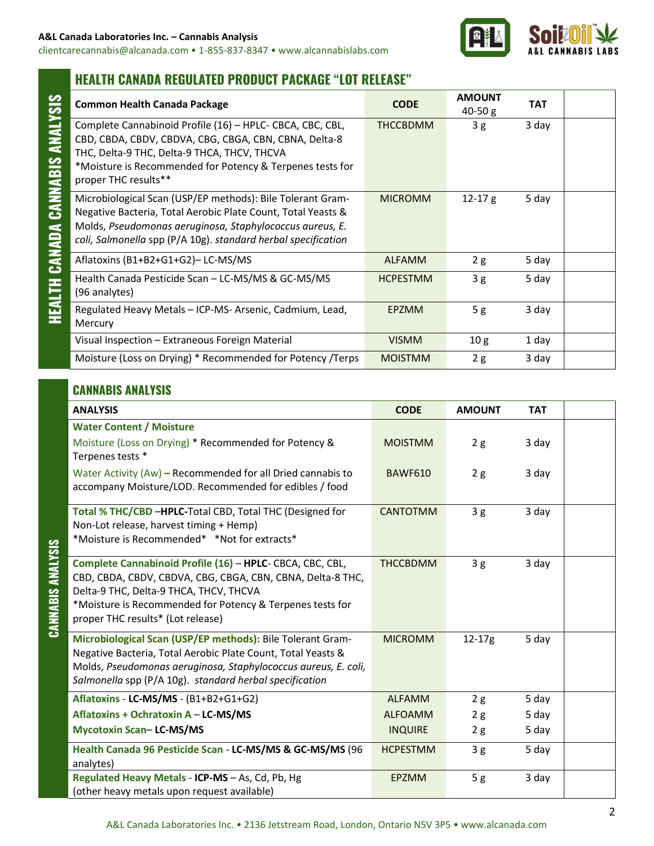clientcarecannabis@alcanada.com • 1-855-837-8347 • www.alcannabislabs.com



### **HEALTH CANADA REGULATED PRODUCT PACKAGE "LOT RELEASE"**

| <b>Common Health Canada Package</b>                                                                                                                                                                                                                     | <b>CODE</b>     | <b>AMOUNT</b><br>$40-50 g$ | <b>TAT</b> |  |
|---------------------------------------------------------------------------------------------------------------------------------------------------------------------------------------------------------------------------------------------------------|-----------------|----------------------------|------------|--|
| Complete Cannabinoid Profile (16) - HPLC- CBCA, CBC, CBL,<br>CBD, CBDA, CBDV, CBDVA, CBG, CBGA, CBN, CBNA, Delta-8<br>THC, Delta-9 THC, Delta-9 THCA, THCV, THCVA<br>*Moisture is Recommended for Potency & Terpenes tests for<br>proper THC results**  | THCCBDMM        | 3g                         | 3 day      |  |
| Microbiological Scan (USP/EP methods): Bile Tolerant Gram-<br>Negative Bacteria, Total Aerobic Plate Count, Total Yeasts &<br>Molds, Pseudomonas aeruginosa, Staphylococcus aureus, E.<br>coli, Salmonella spp (P/A 10g). standard herbal specification | <b>MICROMM</b>  | $12-17g$                   | 5 day      |  |
| Aflatoxins (B1+B2+G1+G2)-LC-MS/MS                                                                                                                                                                                                                       | <b>ALFAMM</b>   | 2g                         | 5 day      |  |
| Health Canada Pesticide Scan - LC-MS/MS & GC-MS/MS<br>(96 analytes)                                                                                                                                                                                     | <b>HCPESTMM</b> | 3g                         | 5 day      |  |
| Regulated Heavy Metals - ICP-MS- Arsenic, Cadmium, Lead,<br>Mercury                                                                                                                                                                                     | <b>EPZMM</b>    | 5g                         | 3 day      |  |
| Visual Inspection – Extraneous Foreign Material                                                                                                                                                                                                         | <b>VISMM</b>    | 10 <sub>g</sub>            | 1 day      |  |
| Moisture (Loss on Drying) * Recommended for Potency /Terps                                                                                                                                                                                              | <b>MOISTMM</b>  | 2g                         | 3 day      |  |

### **CANNABIS ANALYSIS**

|               | <b>ANALYSIS</b>                                                                                                                                                                                                                                                     | <b>CODE</b>     | <b>AMOUNT</b> | <b>TAT</b> |  |
|---------------|---------------------------------------------------------------------------------------------------------------------------------------------------------------------------------------------------------------------------------------------------------------------|-----------------|---------------|------------|--|
|               | <b>Water Content / Moisture</b><br>Moisture (Loss on Drying) * Recommended for Potency &<br>Terpenes tests *                                                                                                                                                        | <b>MOISTMM</b>  | 2g            | 3 day      |  |
|               | Water Activity (Aw) – Recommended for all Dried cannabis to<br>accompany Moisture/LOD. Recommended for edibles / food                                                                                                                                               | <b>BAWF610</b>  | 2g            | 3 day      |  |
| $\frac{3}{5}$ | Total % THC/CBD -HPLC-Total CBD, Total THC (Designed for<br>Non-Lot release, harvest timing + Hemp)<br>*Moisture is Recommended* *Not for extracts*                                                                                                                 | <b>CANTOTMM</b> | 3g            | 3 day      |  |
| CANNABIS ANA  | Complete Cannabinoid Profile (16) - HPLC- CBCA, CBC, CBL,<br>CBD, CBDA, CBDV, CBDVA, CBG, CBGA, CBN, CBNA, Delta-8 THC,<br>Delta-9 THC, Delta-9 THCA, THCV, THCVA<br>*Moisture is Recommended for Potency & Terpenes tests for<br>proper THC results* (Lot release) | <b>THCCBDMM</b> | 3g            | 3 day      |  |
|               | Microbiological Scan (USP/EP methods): Bile Tolerant Gram-<br>Negative Bacteria, Total Aerobic Plate Count, Total Yeasts &<br>Molds, Pseudomonas aeruginosa, Staphylococcus aureus, E. coli,<br>Salmonella spp (P/A 10g). standard herbal specification             | <b>MICROMM</b>  | $12 - 17g$    | 5 day      |  |
|               | Aflatoxins - LC-MS/MS - (B1+B2+G1+G2)                                                                                                                                                                                                                               | <b>ALFAMM</b>   | 2g            | 5 day      |  |
|               | Aflatoxins + Ochratoxin A - LC-MS/MS                                                                                                                                                                                                                                | <b>ALFOAMM</b>  | 2g            | 5 day      |  |
|               | <b>Mycotoxin Scan-LC-MS/MS</b>                                                                                                                                                                                                                                      | <b>INQUIRE</b>  | 2g            | 5 day      |  |
|               | Health Canada 96 Pesticide Scan - LC-MS/MS & GC-MS/MS (96<br>analytes)                                                                                                                                                                                              | <b>HCPESTMM</b> | 3g            | 5 day      |  |
|               | Regulated Heavy Metals - ICP-MS - As, Cd, Pb, Hg<br>(other heavy metals upon request available)                                                                                                                                                                     | <b>EPZMM</b>    | 5g            | 3 day      |  |

**CANNABIS ANALYSIS**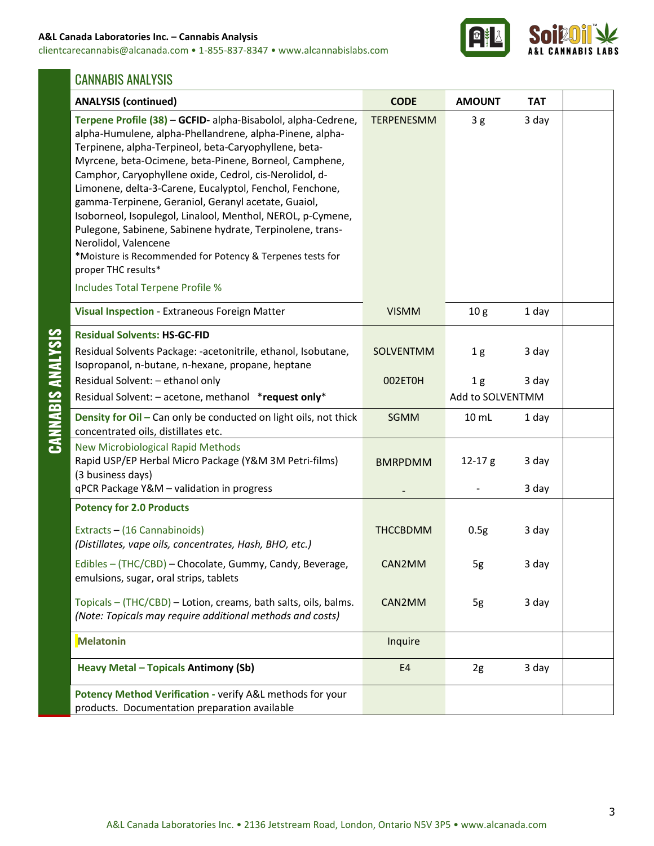#### **A&L Canada Laboratories Inc. – Cannabis Analysis**

clientcarecannabis@alcanada.com • 1-855-837-8347 • www.alcannabislabs.com



### CANNABIS ANALYSIS

|                   | <b>ANALYSIS (continued)</b>                                                                                                                                                                                                                                                                                                                                                                                                                                                                                                                                                                                                                                        | <b>CODE</b>       | <b>AMOUNT</b>                      | <b>TAT</b>     |  |
|-------------------|--------------------------------------------------------------------------------------------------------------------------------------------------------------------------------------------------------------------------------------------------------------------------------------------------------------------------------------------------------------------------------------------------------------------------------------------------------------------------------------------------------------------------------------------------------------------------------------------------------------------------------------------------------------------|-------------------|------------------------------------|----------------|--|
|                   | Terpene Profile (38) - GCFID- alpha-Bisabolol, alpha-Cedrene,<br>alpha-Humulene, alpha-Phellandrene, alpha-Pinene, alpha-<br>Terpinene, alpha-Terpineol, beta-Caryophyllene, beta-<br>Myrcene, beta-Ocimene, beta-Pinene, Borneol, Camphene,<br>Camphor, Caryophyllene oxide, Cedrol, cis-Nerolidol, d-<br>Limonene, delta-3-Carene, Eucalyptol, Fenchol, Fenchone,<br>gamma-Terpinene, Geraniol, Geranyl acetate, Guaiol,<br>Isoborneol, Isopulegol, Linalool, Menthol, NEROL, p-Cymene,<br>Pulegone, Sabinene, Sabinene hydrate, Terpinolene, trans-<br>Nerolidol, Valencene<br>*Moisture is Recommended for Potency & Terpenes tests for<br>proper THC results* | <b>TERPENESMM</b> | 3g                                 | 3 day          |  |
|                   | Includes Total Terpene Profile %                                                                                                                                                                                                                                                                                                                                                                                                                                                                                                                                                                                                                                   |                   |                                    |                |  |
|                   | Visual Inspection - Extraneous Foreign Matter                                                                                                                                                                                                                                                                                                                                                                                                                                                                                                                                                                                                                      | <b>VISMM</b>      | 10 <sub>g</sub>                    | 1 day          |  |
| CANNABIS ANALYSIS | <b>Residual Solvents: HS-GC-FID</b><br>Residual Solvents Package: -acetonitrile, ethanol, Isobutane,<br>Isopropanol, n-butane, n-hexane, propane, heptane                                                                                                                                                                                                                                                                                                                                                                                                                                                                                                          | SOLVENTMM         | 1 <sub>g</sub>                     | 3 day          |  |
|                   | Residual Solvent: - ethanol only<br>Residual Solvent: - acetone, methanol *request only*                                                                                                                                                                                                                                                                                                                                                                                                                                                                                                                                                                           | 002ET0H           | 1 <sub>g</sub><br>Add to SOLVENTMM | 3 day          |  |
|                   | Density for Oil - Can only be conducted on light oils, not thick<br>concentrated oils, distillates etc.                                                                                                                                                                                                                                                                                                                                                                                                                                                                                                                                                            | <b>SGMM</b>       | 10 mL                              | 1 day          |  |
|                   | <b>New Microbiological Rapid Methods</b><br>Rapid USP/EP Herbal Micro Package (Y&M 3M Petri-films)<br>(3 business days)<br>qPCR Package Y&M - validation in progress                                                                                                                                                                                                                                                                                                                                                                                                                                                                                               | <b>BMRPDMM</b>    | $12 - 17g$                         | 3 day<br>3 day |  |
|                   | <b>Potency for 2.0 Products</b>                                                                                                                                                                                                                                                                                                                                                                                                                                                                                                                                                                                                                                    |                   |                                    |                |  |
|                   | Extracts - (16 Cannabinoids)<br>(Distillates, vape oils, concentrates, Hash, BHO, etc.)                                                                                                                                                                                                                                                                                                                                                                                                                                                                                                                                                                            | <b>THCCBDMM</b>   | 0.5g                               | 3 day          |  |
|                   | Edibles - (THC/CBD) - Chocolate, Gummy, Candy, Beverage,<br>emulsions, sugar, oral strips, tablets                                                                                                                                                                                                                                                                                                                                                                                                                                                                                                                                                                 | CAN2MM            | 5g                                 | 3 day          |  |
|                   | Topicals - (THC/CBD) - Lotion, creams, bath salts, oils, balms.<br>(Note: Topicals may require additional methods and costs)                                                                                                                                                                                                                                                                                                                                                                                                                                                                                                                                       | CAN2MM            | 5g                                 | 3 day          |  |
|                   | <b>Melatonin</b>                                                                                                                                                                                                                                                                                                                                                                                                                                                                                                                                                                                                                                                   | Inquire           |                                    |                |  |
|                   | <b>Heavy Metal - Topicals Antimony (Sb)</b>                                                                                                                                                                                                                                                                                                                                                                                                                                                                                                                                                                                                                        | E4                | 2g                                 | 3 day          |  |
|                   | Potency Method Verification - verify A&L methods for your<br>products. Documentation preparation available                                                                                                                                                                                                                                                                                                                                                                                                                                                                                                                                                         |                   |                                    |                |  |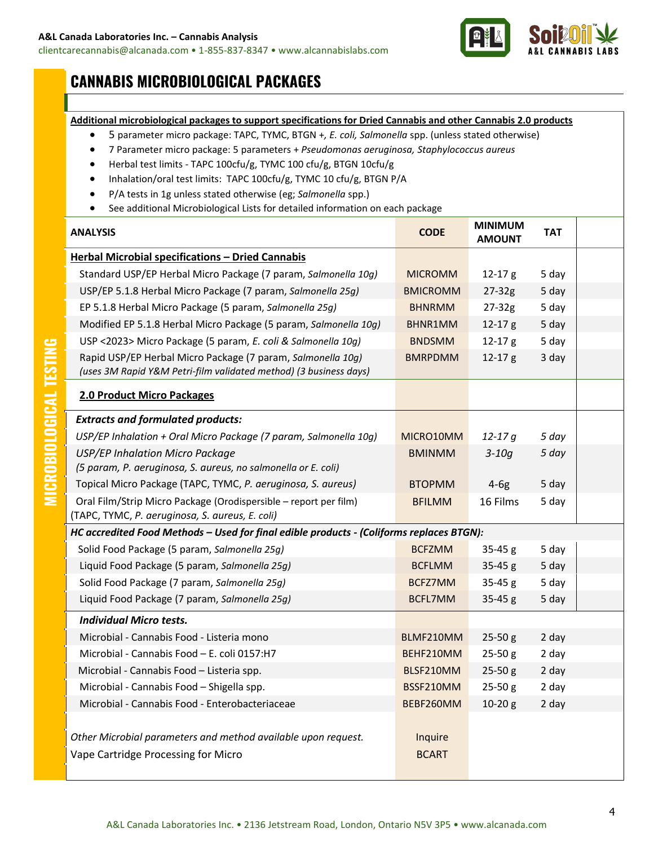

# **CANNABIS MICROBIOLOGICAL PACKAGES**

#### **Additional microbiological packages to support specifications for Dried Cannabis and other Cannabis 2.0 products**

- 5 parameter micro package: TAPC, TYMC, BTGN +*, E. coli, Salmonella* spp. (unless stated otherwise)
- 7 Parameter micro package: 5 parameters + *Pseudomonas aeruginosa, Staphylococcus aureus*
- Herbal test limits *-* TAPC 100cfu/g, TYMC 100 cfu/g, BTGN 10cfu/g
- Inhalation/oral test limits: TAPC 100cfu/g, TYMC 10 cfu/g, BTGN P/A
- P/A tests in 1g unless stated otherwise (eg; *Salmonella* spp.)
- See additional Microbiological Lists for detailed information on each package

| <b>ANALYSIS</b>                                                                                                                  | <b>CODE</b>             | <b>MINIMUM</b><br><b>AMOUNT</b> | <b>TAT</b> |  |
|----------------------------------------------------------------------------------------------------------------------------------|-------------------------|---------------------------------|------------|--|
| Herbal Microbial specifications - Dried Cannabis                                                                                 |                         |                                 |            |  |
| Standard USP/EP Herbal Micro Package (7 param, Salmonella 10g)                                                                   | <b>MICROMM</b>          | $12 - 17g$                      | 5 day      |  |
| USP/EP 5.1.8 Herbal Micro Package (7 param, Salmonella 25g)                                                                      | <b>BMICROMM</b>         | $27 - 32g$                      | 5 day      |  |
| EP 5.1.8 Herbal Micro Package (5 param, Salmonella 25g)                                                                          | <b>BHNRMM</b>           | $27 - 32g$                      | 5 day      |  |
| Modified EP 5.1.8 Herbal Micro Package (5 param, Salmonella 10g)                                                                 | BHNR1MM                 | $12 - 17g$                      | 5 day      |  |
| USP <2023> Micro Package (5 param, E. coli & Salmonella 10g)                                                                     | <b>BNDSMM</b>           | $12 - 17g$                      | 5 day      |  |
| Rapid USP/EP Herbal Micro Package (7 param, Salmonella 10g)<br>(uses 3M Rapid Y&M Petri-film validated method) (3 business days) | <b>BMRPDMM</b>          | $12 - 17g$                      | 3 day      |  |
| 2.0 Product Micro Packages                                                                                                       |                         |                                 |            |  |
| <b>Extracts and formulated products:</b>                                                                                         |                         |                                 |            |  |
| USP/EP Inhalation + Oral Micro Package (7 param, Salmonella 10g)                                                                 | MICRO10MM               | $12 - 17q$                      | 5 day      |  |
| <b>USP/EP Inhalation Micro Package</b><br>(5 param, P. aeruginosa, S. aureus, no salmonella or E. coli)                          | <b>BMINMM</b>           | $3-10q$                         | 5 day      |  |
| Topical Micro Package (TAPC, TYMC, P. aeruginosa, S. aureus)                                                                     | <b>BTOPMM</b>           | $4-6g$                          | 5 day      |  |
| Oral Film/Strip Micro Package (Orodispersible - report per film)<br>(TAPC, TYMC, P. aeruginosa, S. aureus, E. coli)              | <b>BFILMM</b>           | 16 Films                        | 5 day      |  |
| HC accredited Food Methods - Used for final edible products - (Coliforms replaces BTGN):                                         |                         |                                 |            |  |
| Solid Food Package (5 param, Salmonella 25g)                                                                                     | <b>BCFZMM</b>           | $35-45 g$                       | 5 day      |  |
| Liquid Food Package (5 param, Salmonella 25g)                                                                                    | <b>BCFLMM</b>           | $35-45 g$                       | 5 day      |  |
| Solid Food Package (7 param, Salmonella 25g)                                                                                     | BCFZ7MM                 | $35-45 g$                       | 5 day      |  |
| Liquid Food Package (7 param, Salmonella 25g)                                                                                    | BCFL7MM                 | 35-45 g                         | 5 day      |  |
| Individual Micro tests.                                                                                                          |                         |                                 |            |  |
| Microbial - Cannabis Food - Listeria mono                                                                                        | BLMF210MM               | $25 - 50 g$                     | 2 day      |  |
| Microbial - Cannabis Food - E. coli 0157:H7                                                                                      | BEHF210MM               | $25-50 g$                       | 2 day      |  |
| Microbial - Cannabis Food - Listeria spp.                                                                                        | BLSF210MM               | $25 - 50 g$                     | 2 day      |  |
| Microbial - Cannabis Food - Shigella spp.                                                                                        | BSSF210MM               | $25-50 g$                       | 2 day      |  |
| Microbial - Cannabis Food - Enterobacteriaceae                                                                                   | BEBF260MM               | $10-20 g$                       | 2 day      |  |
| Other Microbial parameters and method available upon request.<br>Vape Cartridge Processing for Micro                             | Inquire<br><b>BCART</b> |                                 |            |  |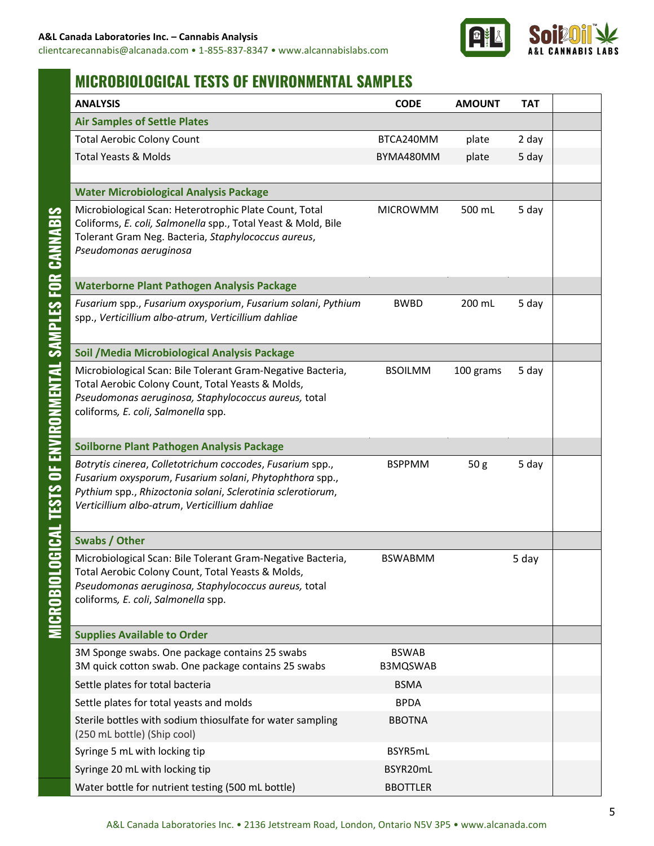

# **MICROBIOLOGICAL TESTS OF ENVIRONMENTAL SAMPLES**

| <b>ANALYSIS</b>                                                                                                         | <b>CODE</b>              | <b>AMOUNT</b>   | <b>TAT</b> |  |
|-------------------------------------------------------------------------------------------------------------------------|--------------------------|-----------------|------------|--|
| <b>Air Samples of Settle Plates</b>                                                                                     |                          |                 |            |  |
| <b>Total Aerobic Colony Count</b>                                                                                       | BTCA240MM                | plate           | 2 day      |  |
| <b>Total Yeasts &amp; Molds</b>                                                                                         | BYMA480MM                | plate           | 5 day      |  |
|                                                                                                                         |                          |                 |            |  |
| <b>Water Microbiological Analysis Package</b>                                                                           |                          |                 |            |  |
| Microbiological Scan: Heterotrophic Plate Count, Total<br>Coliforms, E. coli, Salmonella spp., Total Yeast & Mold, Bile | <b>MICROWMM</b>          | 500 mL          | 5 day      |  |
| Tolerant Gram Neg. Bacteria, Staphylococcus aureus,<br>Pseudomonas aeruginosa                                           |                          |                 |            |  |
|                                                                                                                         |                          |                 |            |  |
| <b>Waterborne Plant Pathogen Analysis Package</b>                                                                       |                          |                 |            |  |
| Fusarium spp., Fusarium oxysporium, Fusarium solani, Pythium<br>spp., Verticillium albo-atrum, Verticillium dahliae     | <b>BWBD</b>              | 200 mL          | 5 day      |  |
| Soil / Media Microbiological Analysis Package                                                                           |                          |                 |            |  |
| Microbiological Scan: Bile Tolerant Gram-Negative Bacteria,                                                             | <b>BSOILMM</b>           | 100 grams       | 5 day      |  |
| Total Aerobic Colony Count, Total Yeasts & Molds,<br>Pseudomonas aeruginosa, Staphylococcus aureus, total               |                          |                 |            |  |
| coliforms, E. coli, Salmonella spp.                                                                                     |                          |                 |            |  |
|                                                                                                                         |                          |                 |            |  |
| Soilborne Plant Pathogen Analysis Package                                                                               |                          |                 |            |  |
| Botrytis cinerea, Colletotrichum coccodes, Fusarium spp.,                                                               | <b>BSPPMM</b>            | 50 <sub>g</sub> | 5 day      |  |
| Fusarium oxysporum, Fusarium solani, Phytophthora spp.,<br>Pythium spp., Rhizoctonia solani, Sclerotinia sclerotiorum,  |                          |                 |            |  |
| Verticillium albo-atrum, Verticillium dahliae                                                                           |                          |                 |            |  |
|                                                                                                                         |                          |                 |            |  |
| <b>Swabs / Other</b>                                                                                                    |                          |                 |            |  |
| Microbiological Scan: Bile Tolerant Gram-Negative Bacteria,                                                             | <b>BSWABMM</b>           |                 | 5 day      |  |
| Total Aerobic Colony Count, Total Yeasts & Molds,<br>Pseudomonas aeruginosa, Staphylococcus aureus, total               |                          |                 |            |  |
| coliforms, E. coli, Salmonella spp.                                                                                     |                          |                 |            |  |
|                                                                                                                         |                          |                 |            |  |
| <b>Supplies Available to Order</b>                                                                                      |                          |                 |            |  |
| 3M Sponge swabs. One package contains 25 swabs<br>3M quick cotton swab. One package contains 25 swabs                   | <b>BSWAB</b><br>B3MQSWAB |                 |            |  |
| Settle plates for total bacteria                                                                                        | <b>BSMA</b>              |                 |            |  |
| Settle plates for total yeasts and molds                                                                                | <b>BPDA</b>              |                 |            |  |
| Sterile bottles with sodium thiosulfate for water sampling                                                              | <b>BBOTNA</b>            |                 |            |  |
| (250 mL bottle) (Ship cool)                                                                                             |                          |                 |            |  |
| Syringe 5 mL with locking tip                                                                                           | BSYR5mL                  |                 |            |  |
| Syringe 20 mL with locking tip                                                                                          | BSYR20mL                 |                 |            |  |
| Water bottle for nutrient testing (500 mL bottle)                                                                       | <b>BBOTTLER</b>          |                 |            |  |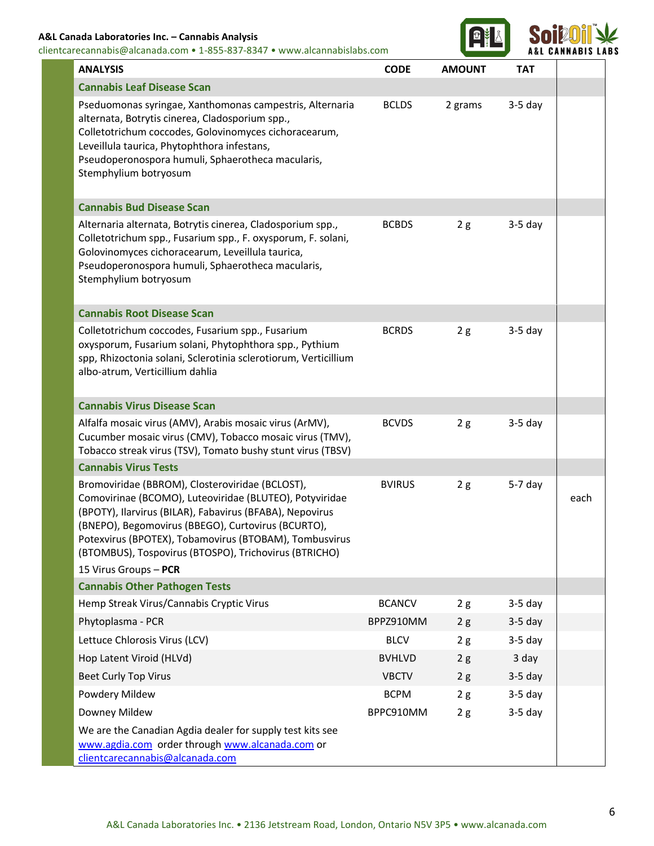#### **A&L Canada Laboratories Inc. – Cannabis Analysis**

clientcarecannabis@alcanada.com • 1-855-837-8347 • www.alcannabislabs.com



| <b>ANALYSIS</b>                                                                                                                                                                                                                                                                                                                                 | <b>CODE</b>                | <b>AMOUNT</b> | <b>TAT</b>             |      |
|-------------------------------------------------------------------------------------------------------------------------------------------------------------------------------------------------------------------------------------------------------------------------------------------------------------------------------------------------|----------------------------|---------------|------------------------|------|
| <b>Cannabis Leaf Disease Scan</b>                                                                                                                                                                                                                                                                                                               |                            |               |                        |      |
| Pseduomonas syringae, Xanthomonas campestris, Alternaria<br>alternata, Botrytis cinerea, Cladosporium spp.,<br>Colletotrichum coccodes, Golovinomyces cichoracearum,<br>Leveillula taurica, Phytophthora infestans,<br>Pseudoperonospora humuli, Sphaerotheca macularis,<br>Stemphylium botryosum                                               | <b>BCLDS</b>               | 2 grams       | $3-5$ day              |      |
| <b>Cannabis Bud Disease Scan</b>                                                                                                                                                                                                                                                                                                                |                            |               |                        |      |
| Alternaria alternata, Botrytis cinerea, Cladosporium spp.,<br>Colletotrichum spp., Fusarium spp., F. oxysporum, F. solani,<br>Golovinomyces cichoracearum, Leveillula taurica,<br>Pseudoperonospora humuli, Sphaerotheca macularis,<br>Stemphylium botryosum                                                                                    | <b>BCBDS</b>               | 2g            | $3-5$ day              |      |
| <b>Cannabis Root Disease Scan</b>                                                                                                                                                                                                                                                                                                               |                            |               |                        |      |
| Colletotrichum coccodes, Fusarium spp., Fusarium<br>oxysporum, Fusarium solani, Phytophthora spp., Pythium<br>spp, Rhizoctonia solani, Sclerotinia sclerotiorum, Verticillium<br>albo-atrum, Verticillium dahlia                                                                                                                                | <b>BCRDS</b>               | 2g            | $3-5$ day              |      |
| <b>Cannabis Virus Disease Scan</b>                                                                                                                                                                                                                                                                                                              |                            |               |                        |      |
| Alfalfa mosaic virus (AMV), Arabis mosaic virus (ArMV),<br>Cucumber mosaic virus (CMV), Tobacco mosaic virus (TMV),<br>Tobacco streak virus (TSV), Tomato bushy stunt virus (TBSV)                                                                                                                                                              | <b>BCVDS</b>               | 2g            | $3-5$ day              |      |
| <b>Cannabis Virus Tests</b>                                                                                                                                                                                                                                                                                                                     |                            |               |                        |      |
| Bromoviridae (BBROM), Closteroviridae (BCLOST),<br>Comovirinae (BCOMO), Luteoviridae (BLUTEO), Potyviridae<br>(BPOTY), Ilarvirus (BILAR), Fabavirus (BFABA), Nepovirus<br>(BNEPO), Begomovirus (BBEGO), Curtovirus (BCURTO),<br>Potexvirus (BPOTEX), Tobamovirus (BTOBAM), Tombusvirus<br>(BTOMBUS), Tospovirus (BTOSPO), Trichovirus (BTRICHO) | <b>BVIRUS</b>              | 2g            | $5-7$ day              | each |
| 15 Virus Groups - PCR                                                                                                                                                                                                                                                                                                                           |                            |               |                        |      |
| <b>Cannabis Other Pathogen Tests</b>                                                                                                                                                                                                                                                                                                            |                            |               |                        |      |
| Hemp Streak Virus/Cannabis Cryptic Virus<br>Phytoplasma - PCR                                                                                                                                                                                                                                                                                   | <b>BCANCV</b><br>BPPZ910MM | 2g            | $3-5$ day<br>$3-5$ day |      |
| Lettuce Chlorosis Virus (LCV)                                                                                                                                                                                                                                                                                                                   | <b>BLCV</b>                | 2g<br>2g      | $3-5$ day              |      |
| Hop Latent Viroid (HLVd)                                                                                                                                                                                                                                                                                                                        | <b>BVHLVD</b>              | 2g            | 3 day                  |      |
| <b>Beet Curly Top Virus</b>                                                                                                                                                                                                                                                                                                                     | <b>VBCTV</b>               | 2g            | $3-5$ day              |      |
| Powdery Mildew                                                                                                                                                                                                                                                                                                                                  | <b>BCPM</b>                | 2g            | $3-5$ day              |      |
| Downey Mildew                                                                                                                                                                                                                                                                                                                                   | BPPC910MM                  | 2g            | $3-5$ day              |      |
| We are the Canadian Agdia dealer for supply test kits see<br>www.agdia.com order through www.alcanada.com or<br>clientcarecannabis@alcanada.com                                                                                                                                                                                                 |                            |               |                        |      |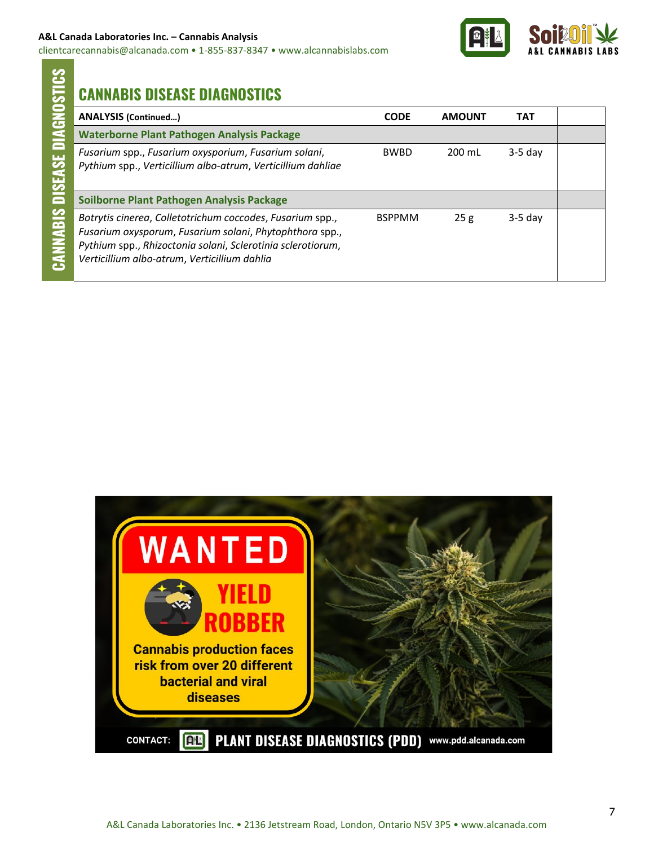

# **CANNABIS DISEASE DIAGNOSTICS**

| <b>ANALYSIS (Continued)</b>                                                                                                                                                                                                         | <b>CODE</b>   | <b>AMOUNT</b> | TAT       |  |
|-------------------------------------------------------------------------------------------------------------------------------------------------------------------------------------------------------------------------------------|---------------|---------------|-----------|--|
| <b>Waterborne Plant Pathogen Analysis Package</b>                                                                                                                                                                                   |               |               |           |  |
| Fusarium spp., Fusarium oxysporium, Fusarium solani,<br>Pythium spp., Verticillium albo-atrum, Verticillium dahliae                                                                                                                 | <b>BWBD</b>   | 200 mL        | $3-5$ day |  |
| Soilborne Plant Pathogen Analysis Package                                                                                                                                                                                           |               |               |           |  |
| Botrytis cinerea, Colletotrichum coccodes, Fusarium spp.,<br>Fusarium oxysporum, Fusarium solani, Phytophthora spp.,<br>Pythium spp., Rhizoctonia solani, Sclerotinia sclerotiorum,<br>Verticillium albo-atrum, Verticillium dahlia | <b>BSPPMM</b> | 25g           | $3-5$ day |  |

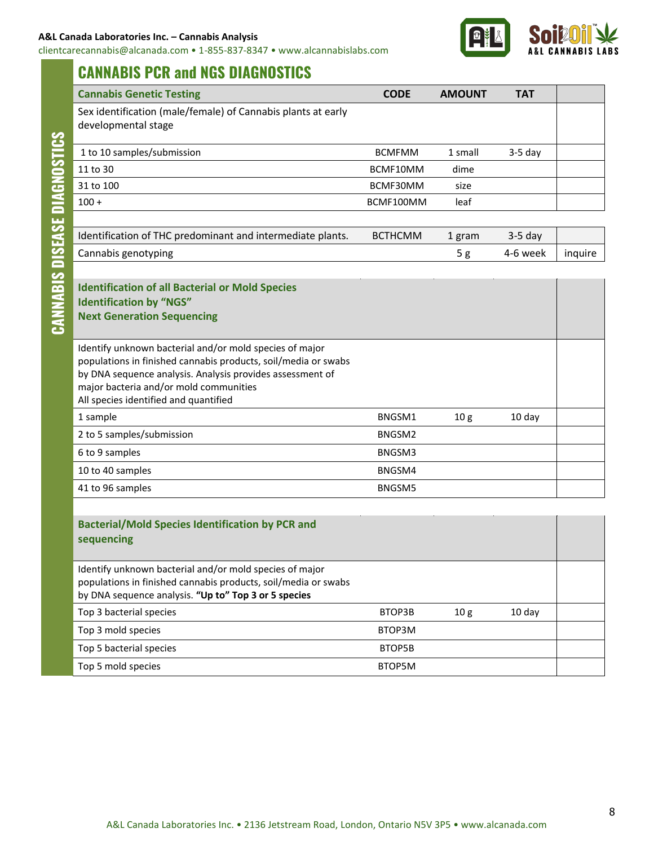clientcarecannabis@alcanada.com • 1-855-837-8347 • www.alcannabislabs.com



## **CANNABIS PCR and NGS DIAGNOSTICS**

| <b>Cannabis Genetic Testing</b>                                                                                                                                                                                                                                           | <b>CODE</b>                | <b>AMOUNT</b>   | <b>TAT</b> |         |
|---------------------------------------------------------------------------------------------------------------------------------------------------------------------------------------------------------------------------------------------------------------------------|----------------------------|-----------------|------------|---------|
| Sex identification (male/female) of Cannabis plants at early<br>developmental stage                                                                                                                                                                                       |                            |                 |            |         |
| 1 to 10 samples/submission                                                                                                                                                                                                                                                | <b>BCMFMM</b>              | 1 small         | $3-5$ day  |         |
| 11 to 30                                                                                                                                                                                                                                                                  | BCMF10MM                   | dime            |            |         |
| 31 to 100                                                                                                                                                                                                                                                                 | BCMF30MM                   | size            |            |         |
| $100 +$                                                                                                                                                                                                                                                                   | BCMF100MM                  | leaf            |            |         |
|                                                                                                                                                                                                                                                                           |                            |                 |            |         |
| Identification of THC predominant and intermediate plants.                                                                                                                                                                                                                | <b>BCTHCMM</b>             | 1 gram          | $3-5$ day  |         |
| Cannabis genotyping                                                                                                                                                                                                                                                       |                            | 5 <sub>g</sub>  | 4-6 week   | inquire |
|                                                                                                                                                                                                                                                                           |                            |                 |            |         |
| <b>Identification of all Bacterial or Mold Species</b><br><b>Identification by "NGS"</b><br><b>Next Generation Sequencing</b>                                                                                                                                             |                            |                 |            |         |
| Identify unknown bacterial and/or mold species of major<br>populations in finished cannabis products, soil/media or swabs<br>by DNA sequence analysis. Analysis provides assessment of<br>major bacteria and/or mold communities<br>All species identified and quantified |                            |                 |            |         |
| 1 sample                                                                                                                                                                                                                                                                  | BNGSM1                     | 10 <sub>g</sub> | 10 day     |         |
| 2 to 5 samples/submission                                                                                                                                                                                                                                                 | BNGSM2                     |                 |            |         |
| 6 to 9 samples                                                                                                                                                                                                                                                            | BNGSM3                     |                 |            |         |
| 10 to 40 samples                                                                                                                                                                                                                                                          | BNGSM4                     |                 |            |         |
| 41 to 96 samples                                                                                                                                                                                                                                                          | BNGSM5                     |                 |            |         |
|                                                                                                                                                                                                                                                                           |                            |                 |            |         |
| <b>Bacterial/Mold Species Identification by PCR and</b><br>sequencing                                                                                                                                                                                                     |                            |                 |            |         |
| Identify unknown bacterial and/or mold species of major<br>populations in finished cannabis products, soil/media or swabs<br>by DNA sequence analysis. "Up to" Top 3 or 5 species                                                                                         |                            |                 |            |         |
| and the computer and contact                                                                                                                                                                                                                                              | $n \tau \wedge n \wedge n$ | $\sim$          |            |         |

| <b>Bacterial/Mold Species Identification by PCR and</b><br>sequencing                                                                                                             |        |                 |          |  |
|-----------------------------------------------------------------------------------------------------------------------------------------------------------------------------------|--------|-----------------|----------|--|
| Identify unknown bacterial and/or mold species of major<br>populations in finished cannabis products, soil/media or swabs<br>by DNA sequence analysis. "Up to" Top 3 or 5 species |        |                 |          |  |
| Top 3 bacterial species                                                                                                                                                           | BTOP3B | 10 <sub>g</sub> | $10$ day |  |
| Top 3 mold species                                                                                                                                                                | BTOP3M |                 |          |  |
| Top 5 bacterial species                                                                                                                                                           | BTOP5B |                 |          |  |
| Top 5 mold species                                                                                                                                                                | BTOP5M |                 |          |  |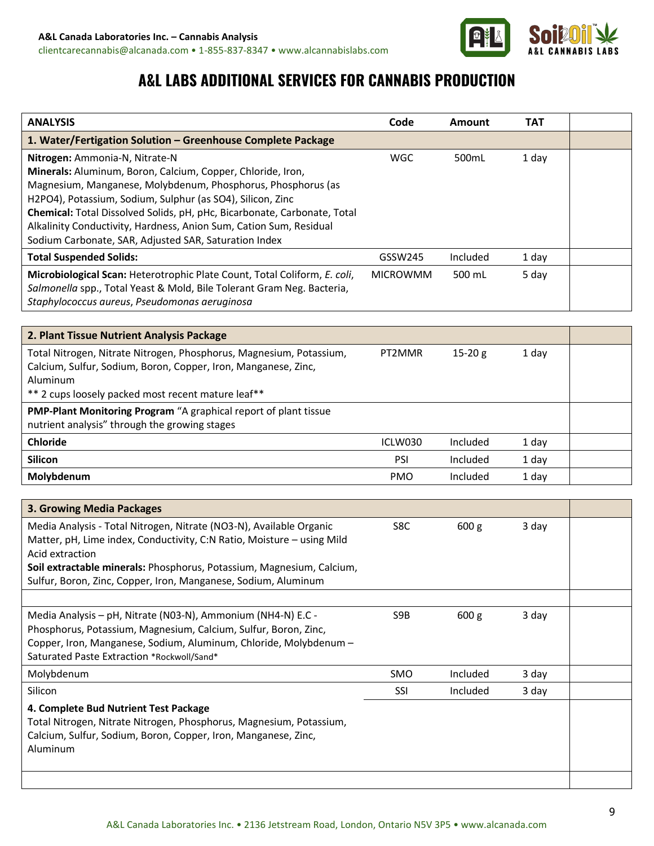

# **A&L LABS ADDITIONAL SERVICES FOR CANNABIS PRODUCTION**

| <b>ANALYSIS</b>                                                                                                                                                                                                                                                                                                                                                                                                                        | Code            | <b>Amount</b>    | <b>TAT</b> |  |
|----------------------------------------------------------------------------------------------------------------------------------------------------------------------------------------------------------------------------------------------------------------------------------------------------------------------------------------------------------------------------------------------------------------------------------------|-----------------|------------------|------------|--|
| 1. Water/Fertigation Solution - Greenhouse Complete Package                                                                                                                                                                                                                                                                                                                                                                            |                 |                  |            |  |
| Nitrogen: Ammonia-N, Nitrate-N<br>Minerals: Aluminum, Boron, Calcium, Copper, Chloride, Iron,<br>Magnesium, Manganese, Molybdenum, Phosphorus, Phosphorus (as<br>H2PO4), Potassium, Sodium, Sulphur (as SO4), Silicon, Zinc<br>Chemical: Total Dissolved Solids, pH, pHc, Bicarbonate, Carbonate, Total<br>Alkalinity Conductivity, Hardness, Anion Sum, Cation Sum, Residual<br>Sodium Carbonate, SAR, Adjusted SAR, Saturation Index | <b>WGC</b>      | 500mL            | 1 day      |  |
| <b>Total Suspended Solids:</b>                                                                                                                                                                                                                                                                                                                                                                                                         | GSSW245         | Included         | 1 day      |  |
| Microbiological Scan: Heterotrophic Plate Count, Total Coliform, E. coli,<br>Salmonella spp., Total Yeast & Mold, Bile Tolerant Gram Neg. Bacteria,<br>Staphylococcus aureus, Pseudomonas aeruginosa                                                                                                                                                                                                                                   | <b>MICROWMM</b> | 500 mL           | 5 day      |  |
|                                                                                                                                                                                                                                                                                                                                                                                                                                        |                 |                  |            |  |
| 2. Plant Tissue Nutrient Analysis Package                                                                                                                                                                                                                                                                                                                                                                                              |                 |                  |            |  |
| Total Nitrogen, Nitrate Nitrogen, Phosphorus, Magnesium, Potassium,<br>Calcium, Sulfur, Sodium, Boron, Copper, Iron, Manganese, Zinc,<br>Aluminum<br>** 2 cups loosely packed most recent mature leaf**                                                                                                                                                                                                                                | PT2MMR          | $15-20g$         | 1 day      |  |
| PMP-Plant Monitoring Program "A graphical report of plant tissue<br>nutrient analysis" through the growing stages                                                                                                                                                                                                                                                                                                                      |                 |                  |            |  |
| <b>Chloride</b>                                                                                                                                                                                                                                                                                                                                                                                                                        | ICLW030         | Included         | 1 day      |  |
| <b>Silicon</b>                                                                                                                                                                                                                                                                                                                                                                                                                         | PSI             | Included         | 1 day      |  |
| Molybdenum                                                                                                                                                                                                                                                                                                                                                                                                                             | <b>PMO</b>      | Included         | 1 day      |  |
|                                                                                                                                                                                                                                                                                                                                                                                                                                        |                 |                  |            |  |
| 3. Growing Media Packages                                                                                                                                                                                                                                                                                                                                                                                                              |                 |                  |            |  |
| Media Analysis - Total Nitrogen, Nitrate (NO3-N), Available Organic<br>Matter, pH, Lime index, Conductivity, C:N Ratio, Moisture - using Mild<br>Acid extraction<br>Soil extractable minerals: Phosphorus, Potassium, Magnesium, Calcium,<br>Sulfur, Boron, Zinc, Copper, Iron, Manganese, Sodium, Aluminum                                                                                                                            | S8C             | 600 g            | 3 day      |  |
|                                                                                                                                                                                                                                                                                                                                                                                                                                        |                 |                  |            |  |
| Media Analysis - pH, Nitrate (N03-N), Ammonium (NH4-N) E.C -<br>Phosphorus, Potassium, Magnesium, Calcium, Sulfur, Boron, Zinc,<br>Copper, Iron, Manganese, Sodium, Aluminum, Chloride, Molybdenum -<br>Saturated Paste Extraction *Rockwoll/Sand*                                                                                                                                                                                     | S9B             | 600 <sub>g</sub> | 3 day      |  |
| Molybdenum                                                                                                                                                                                                                                                                                                                                                                                                                             | SMO             | Included         | 3 day      |  |
| Silicon                                                                                                                                                                                                                                                                                                                                                                                                                                | SSI             | Included         | 3 day      |  |
| 4. Complete Bud Nutrient Test Package<br>Total Nitrogen, Nitrate Nitrogen, Phosphorus, Magnesium, Potassium,<br>Calcium, Sulfur, Sodium, Boron, Copper, Iron, Manganese, Zinc,<br>Aluminum                                                                                                                                                                                                                                             |                 |                  |            |  |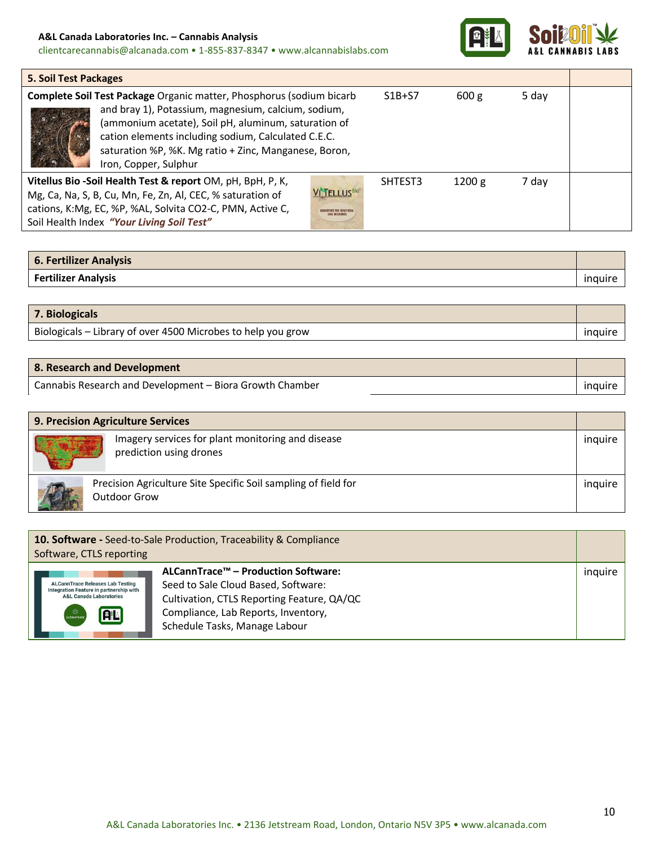#### **A&L Canada Laboratories Inc. – Cannabis Analysis**

clientcarecannabis@alcanada.com • 1-855-837-8347 • www.alcannabislabs.com



T

| <b>5. Soil Test Packages</b>                                                                                                                                                                                                                                                                                                 |                                                 |          |        |       |  |
|------------------------------------------------------------------------------------------------------------------------------------------------------------------------------------------------------------------------------------------------------------------------------------------------------------------------------|-------------------------------------------------|----------|--------|-------|--|
| Complete Soil Test Package Organic matter, Phosphorus (sodium bicarb<br>and bray 1), Potassium, magnesium, calcium, sodium,<br>(ammonium acetate), Soil pH, aluminum, saturation of<br>cation elements including sodium, Calculated C.E.C.<br>saturation %P, %K. Mg ratio + Zinc, Manganese, Boron,<br>Iron, Copper, Sulphur |                                                 | $S1B+S7$ | 600 g  | 5 day |  |
| Vitellus Bio -Soil Health Test & report OM, pH, BpH, P, K,<br>Mg, Ca, Na, S, B, Cu, Mn, Fe, Zn, Al, CEC, % saturation of<br>cations, K:Mg, EC, %P, %AL, Solvita CO2-C, PMN, Active C,<br>Soil Health Index "Your Living Soil Test"                                                                                           | VITELLUS <sup>Bio®</sup><br><b>SOIL MICROBS</b> | SHTEST3  | 1200 g | 7 day |  |

| 6. Fertilizer Analysis     |  |
|----------------------------|--|
| <b>Fertilizer Analysis</b> |  |

| 7. Biologicals                                               |                |
|--------------------------------------------------------------|----------------|
| Biologicals – Library of over 4500 Microbes to help you grow | <b>Induire</b> |

| 8. Research and Development                              |         |
|----------------------------------------------------------|---------|
| Cannabis Research and Development – Biora Growth Chamber | inguire |

| 9. Precision Agriculture Services |                                                                                |         |  |
|-----------------------------------|--------------------------------------------------------------------------------|---------|--|
|                                   | Imagery services for plant monitoring and disease<br>prediction using drones   | inguire |  |
|                                   | Precision Agriculture Site Specific Soil sampling of field for<br>Outdoor Grow | inguire |  |

| 10. Software - Seed-to-Sale Production, Traceability & Compliance<br>Software, CTLS reporting                                                                             |                                                                                                                                                                                                  |         |  |
|---------------------------------------------------------------------------------------------------------------------------------------------------------------------------|--------------------------------------------------------------------------------------------------------------------------------------------------------------------------------------------------|---------|--|
| <b>ALCannTrace Releases Lab Testing</b><br>Integration Feature in partnership with<br><b>A&amp;L Canada Laboratories</b><br>$\tau_{\rm 1Z}^{\rm 2D}$<br>FL<br>ALCANNTRACH | ALCannTrace™ – Production Software:<br>Seed to Sale Cloud Based, Software:<br>Cultivation, CTLS Reporting Feature, QA/QC<br>Compliance, Lab Reports, Inventory,<br>Schedule Tasks, Manage Labour | inguire |  |